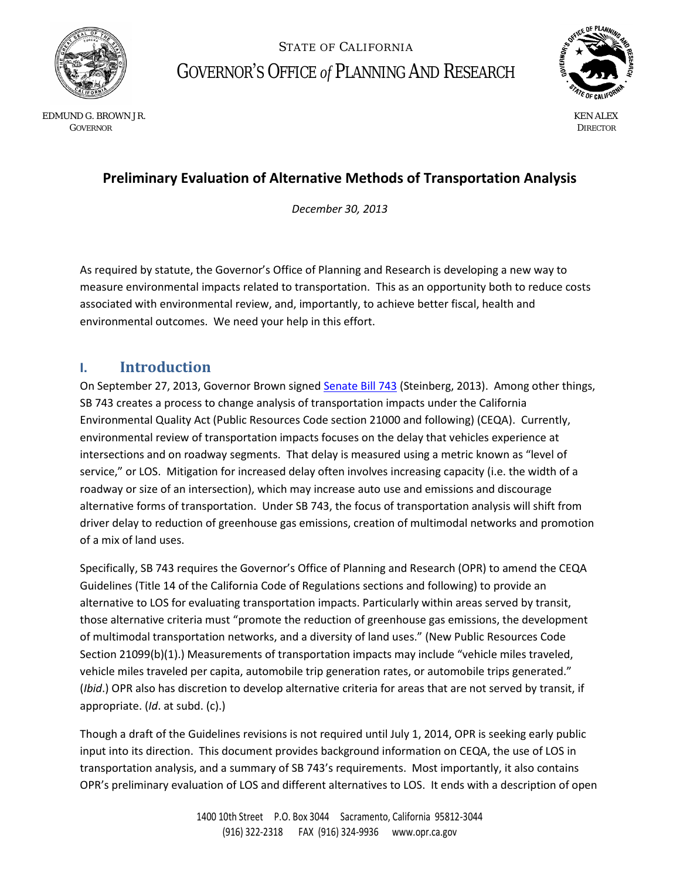

STATE OF CALIFORNIA GOVERNOR'S OFFICE *of* PLANNING AND RESEARCH



 EDMUND G. BROWN JR. KEN ALEX GOVERNOR DIRECTOR CONTROL CONTROL CONTROL CONTROL CONTROL CONTROL CONTROL CONTROL CONTROL CONTROL CONTROL CONTROL CONTROL CONTROL CONTROL CONTROL CONTROL CONTROL CONTROL CONTROL CONTROL CONTROL CONTROL CONTROL CONTROL CONT

# **Preliminary Evaluation of Alternative Methods of Transportation Analysis**

*December 30, 2013* 

As required by statute, the Governor's Office of Planning and Research is developing a new way to measure environmental impacts related to transportation. This as an opportunity both to reduce costs associated with environmental review, and, importantly, to achieve better fiscal, health and environmental outcomes. We need your help in this effort.

### **I. Introduction**

On September 27, 2013, Governor Brown signe[d Senate Bill 743](http://leginfo.legislature.ca.gov/faces/billNavClient.xhtml?bill_id=201320140SB743&search_keywords=) (Steinberg, 2013). Among other things, SB 743 creates a process to change analysis of transportation impacts under the California Environmental Quality Act (Public Resources Code section 21000 and following) (CEQA). Currently, environmental review of transportation impacts focuses on the delay that vehicles experience at intersections and on roadway segments. That delay is measured using a metric known as "level of service," or LOS. Mitigation for increased delay often involves increasing capacity (i.e. the width of a roadway or size of an intersection), which may increase auto use and emissions and discourage alternative forms of transportation. Under SB 743, the focus of transportation analysis will shift from driver delay to reduction of greenhouse gas emissions, creation of multimodal networks and promotion of a mix of land uses.

Specifically, SB 743 requires the Governor's Office of Planning and Research (OPR) to amend the CEQA Guidelines (Title 14 of the California Code of Regulations sections and following) to provide an alternative to LOS for evaluating transportation impacts. Particularly within areas served by transit, those alternative criteria must "promote the reduction of greenhouse gas emissions, the development of multimodal transportation networks, and a diversity of land uses." (New Public Resources Code Section 21099(b)(1).) Measurements of transportation impacts may include "vehicle miles traveled, vehicle miles traveled per capita, automobile trip generation rates, or automobile trips generated." (*Ibid*.) OPR also has discretion to develop alternative criteria for areas that are not served by transit, if appropriate. (*Id*. at subd. (c).)

Though a draft of the Guidelines revisions is not required until July 1, 2014, OPR is seeking early public input into its direction. This document provides background information on CEQA, the use of LOS in transportation analysis, and a summary of SB 743's requirements. Most importantly, it also contains OPR's preliminary evaluation of LOS and different alternatives to LOS. It ends with a description of open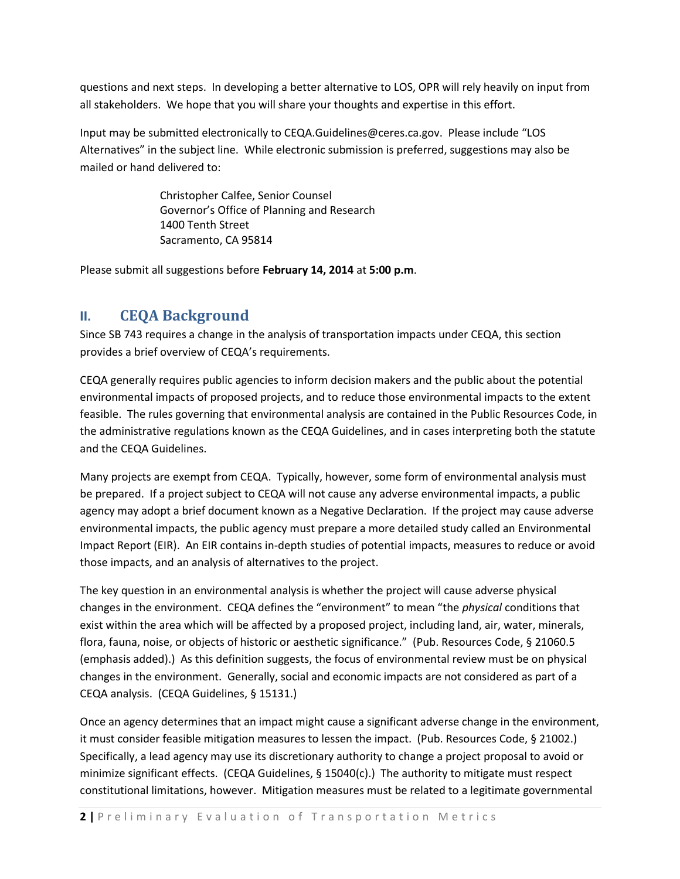questions and next steps. In developing a better alternative to LOS, OPR will rely heavily on input from all stakeholders. We hope that you will share your thoughts and expertise in this effort.

Input may be submitted electronically to CEQA.Guidelines@ceres.ca.gov. Please include "LOS Alternatives" in the subject line. While electronic submission is preferred, suggestions may also be mailed or hand delivered to:

> Christopher Calfee, Senior Counsel Governor's Office of Planning and Research 1400 Tenth Street Sacramento, CA 95814

Please submit all suggestions before **February 14, 2014** at **5:00 p.m**.

### **II. CEQA Background**

Since SB 743 requires a change in the analysis of transportation impacts under CEQA, this section provides a brief overview of CEQA's requirements.

CEQA generally requires public agencies to inform decision makers and the public about the potential environmental impacts of proposed projects, and to reduce those environmental impacts to the extent feasible. The rules governing that environmental analysis are contained in the Public Resources Code, in the administrative regulations known as the CEQA Guidelines, and in cases interpreting both the statute and the CEQA Guidelines.

Many projects are exempt from CEQA. Typically, however, some form of environmental analysis must be prepared. If a project subject to CEQA will not cause any adverse environmental impacts, a public agency may adopt a brief document known as a Negative Declaration. If the project may cause adverse environmental impacts, the public agency must prepare a more detailed study called an Environmental Impact Report (EIR). An EIR contains in-depth studies of potential impacts, measures to reduce or avoid those impacts, and an analysis of alternatives to the project.

The key question in an environmental analysis is whether the project will cause adverse physical changes in the environment. CEQA defines the "environment" to mean "the *physical* conditions that exist within the area which will be affected by a proposed project, including land, air, water, minerals, flora, fauna, noise, or objects of historic or aesthetic significance." (Pub. Resources Code, § 21060.5 (emphasis added).) As this definition suggests, the focus of environmental review must be on physical changes in the environment. Generally, social and economic impacts are not considered as part of a CEQA analysis. (CEQA Guidelines, § 15131.)

Once an agency determines that an impact might cause a significant adverse change in the environment, it must consider feasible mitigation measures to lessen the impact. (Pub. Resources Code, § 21002.) Specifically, a lead agency may use its discretionary authority to change a project proposal to avoid or minimize significant effects. (CEQA Guidelines, § 15040(c).) The authority to mitigate must respect constitutional limitations, however. Mitigation measures must be related to a legitimate governmental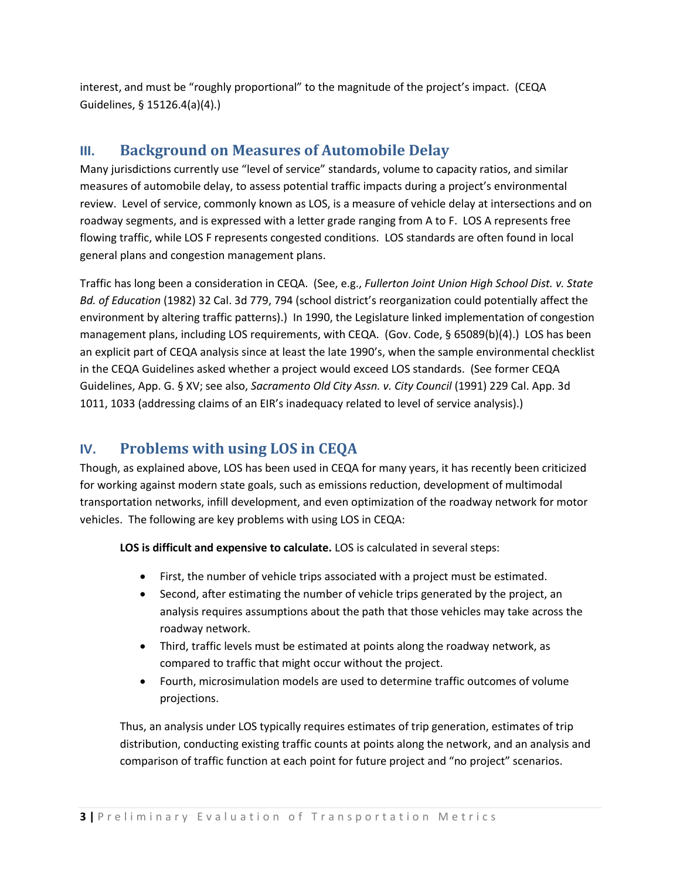interest, and must be "roughly proportional" to the magnitude of the project's impact. (CEQA Guidelines, § 15126.4(a)(4).)

## **III. Background on Measures of Automobile Delay**

Many jurisdictions currently use "level of service" standards, volume to capacity ratios, and similar measures of automobile delay, to assess potential traffic impacts during a project's environmental review. Level of service, commonly known as LOS, is a measure of vehicle delay at intersections and on roadway segments, and is expressed with a letter grade ranging from A to F. LOS A represents free flowing traffic, while LOS F represents congested conditions. LOS standards are often found in local general plans and congestion management plans.

Traffic has long been a consideration in CEQA. (See, e.g., *Fullerton Joint Union High School Dist. v. State Bd. of Education* (1982) 32 Cal. 3d 779, 794 (school district's reorganization could potentially affect the environment by altering traffic patterns).) In 1990, the Legislature linked implementation of congestion management plans, including LOS requirements, with CEQA. (Gov. Code, § 65089(b)(4).) LOS has been an explicit part of CEQA analysis since at least the late 1990's, when the sample environmental checklist in the CEQA Guidelines asked whether a project would exceed LOS standards. (See former CEQA Guidelines, App. G. § XV; see also, *Sacramento Old City Assn. v. City Council* (1991) 229 Cal. App. 3d 1011, 1033 (addressing claims of an EIR's inadequacy related to level of service analysis).)

# **IV. Problems with using LOS in CEQA**

Though, as explained above, LOS has been used in CEQA for many years, it has recently been criticized for working against modern state goals, such as emissions reduction, development of multimodal transportation networks, infill development, and even optimization of the roadway network for motor vehicles. The following are key problems with using LOS in CEQA:

**LOS is difficult and expensive to calculate.** LOS is calculated in several steps:

- First, the number of vehicle trips associated with a project must be estimated.
- Second, after estimating the number of vehicle trips generated by the project, an analysis requires assumptions about the path that those vehicles may take across the roadway network.
- Third, traffic levels must be estimated at points along the roadway network, as compared to traffic that might occur without the project.
- Fourth, microsimulation models are used to determine traffic outcomes of volume projections.

Thus, an analysis under LOS typically requires estimates of trip generation, estimates of trip distribution, conducting existing traffic counts at points along the network, and an analysis and comparison of traffic function at each point for future project and "no project" scenarios.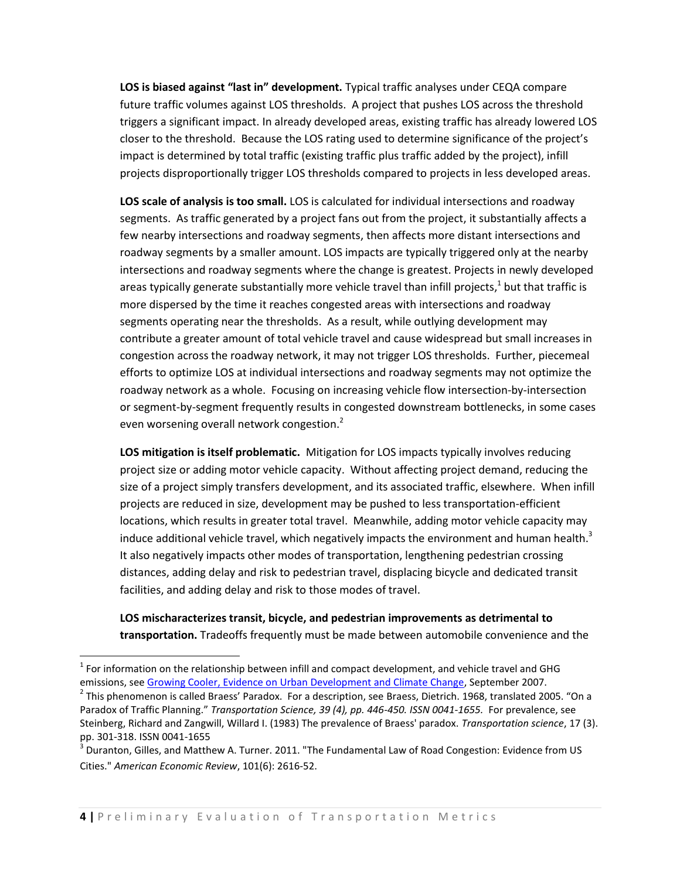**LOS is biased against "last in" development.** Typical traffic analyses under CEQA compare future traffic volumes against LOS thresholds. A project that pushes LOS across the threshold triggers a significant impact. In already developed areas, existing traffic has already lowered LOS closer to the threshold. Because the LOS rating used to determine significance of the project's impact is determined by total traffic (existing traffic plus traffic added by the project), infill projects disproportionally trigger LOS thresholds compared to projects in less developed areas.

**LOS scale of analysis is too small.** LOS is calculated for individual intersections and roadway segments. As traffic generated by a project fans out from the project, it substantially affects a few nearby intersections and roadway segments, then affects more distant intersections and roadway segments by a smaller amount. LOS impacts are typically triggered only at the nearby intersections and roadway segments where the change is greatest. Projects in newly developed areas typically generate substantially more vehicle travel than infill projects,<sup>1</sup> but that traffic is more dispersed by the time it reaches congested areas with intersections and roadway segments operating near the thresholds. As a result, while outlying development may contribute a greater amount of total vehicle travel and cause widespread but small increases in congestion across the roadway network, it may not trigger LOS thresholds. Further, piecemeal efforts to optimize LOS at individual intersections and roadway segments may not optimize the roadway network as a whole. Focusing on increasing vehicle flow intersection-by-intersection or segment-by-segment frequently results in congested downstream bottlenecks, in some cases even worsening overall network congestion.<sup>2</sup>

**LOS mitigation is itself problematic.**Mitigation for LOS impacts typically involves reducing project size or adding motor vehicle capacity. Without affecting project demand, reducing the size of a project simply transfers development, and its associated traffic, elsewhere. When infill projects are reduced in size, development may be pushed to less transportation-efficient locations, which results in greater total travel. Meanwhile, adding motor vehicle capacity may induce additional vehicle travel, which negatively impacts the environment and human health.<sup>3</sup> It also negatively impacts other modes of transportation, lengthening pedestrian crossing distances, adding delay and risk to pedestrian travel, displacing bicycle and dedicated transit facilities, and adding delay and risk to those modes of travel.

**LOS mischaracterizes transit, bicycle, and pedestrian improvements as detrimental to transportation.** Tradeoffs frequently must be made between automobile convenience and the

 $\overline{\phantom{a}}$ 

 $<sup>1</sup>$  For information on the relationship between infill and compact development, and vehicle travel and GHG</sup> emissions, se[e Growing Cooler, Evidence on Urban Development and Climate Change,](http://www.smartgrowthamerica.org/documents/growingcoolerCH1.pdf) September 2007.

 $^2$  This phenomenon is called Braess' Paradox. For a description, see Braess, Dietrich. 1968, translated 2005. "On a Paradox of Traffic Planning." *Transportation Science, 39 (4), pp. 446-450. ISSN 0041-1655.* For prevalence, see Steinberg, Richard and Zangwill, Willard I. (1983) The prevalence of Braess' paradox. *Transportation science*, 17 (3). pp. 301-318. ISSN 0041-1655

 $^3$  Duranton, Gilles, and Matthew A. Turner. 2011. "The Fundamental Law of Road Congestion: Evidence from US Cities." *American Economic Review*, 101(6): 2616-52.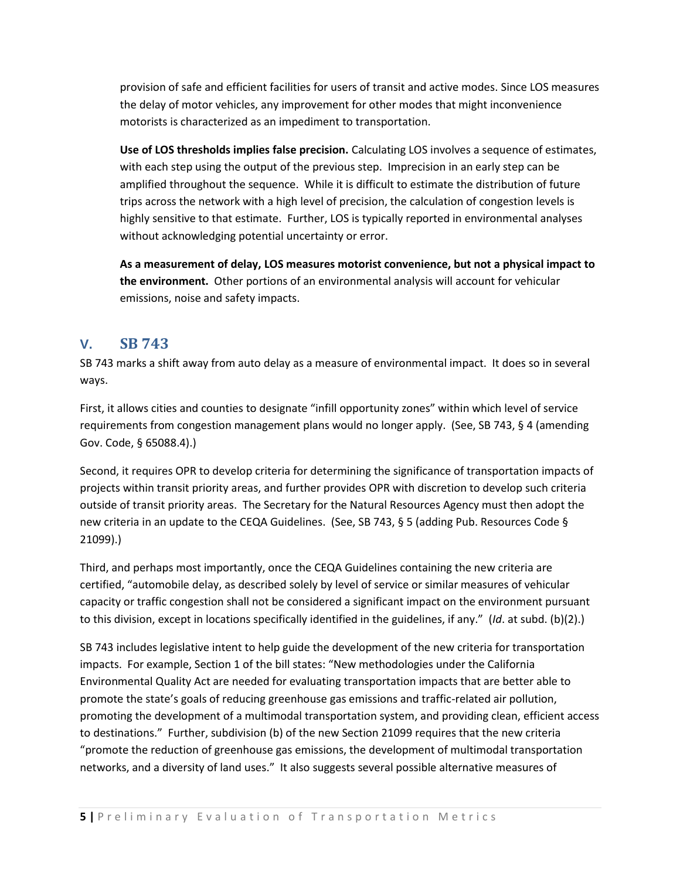provision of safe and efficient facilities for users of transit and active modes. Since LOS measures the delay of motor vehicles, any improvement for other modes that might inconvenience motorists is characterized as an impediment to transportation.

**Use of LOS thresholds implies false precision.** Calculating LOS involves a sequence of estimates, with each step using the output of the previous step. Imprecision in an early step can be amplified throughout the sequence. While it is difficult to estimate the distribution of future trips across the network with a high level of precision, the calculation of congestion levels is highly sensitive to that estimate. Further, LOS is typically reported in environmental analyses without acknowledging potential uncertainty or error.

**As a measurement of delay, LOS measures motorist convenience, but not a physical impact to the environment.** Other portions of an environmental analysis will account for vehicular emissions, noise and safety impacts.

### **V. SB 743**

SB 743 marks a shift away from auto delay as a measure of environmental impact. It does so in several ways.

First, it allows cities and counties to designate "infill opportunity zones" within which level of service requirements from congestion management plans would no longer apply. (See, SB 743, § 4 (amending Gov. Code, § 65088.4).)

Second, it requires OPR to develop criteria for determining the significance of transportation impacts of projects within transit priority areas, and further provides OPR with discretion to develop such criteria outside of transit priority areas. The Secretary for the Natural Resources Agency must then adopt the new criteria in an update to the CEQA Guidelines. (See, SB 743, § 5 (adding Pub. Resources Code § 21099).)

Third, and perhaps most importantly, once the CEQA Guidelines containing the new criteria are certified, "automobile delay, as described solely by level of service or similar measures of vehicular capacity or traffic congestion shall not be considered a significant impact on the environment pursuant to this division, except in locations specifically identified in the guidelines, if any." (*Id*. at subd. (b)(2).)

SB 743 includes legislative intent to help guide the development of the new criteria for transportation impacts. For example, Section 1 of the bill states: "New methodologies under the California Environmental Quality Act are needed for evaluating transportation impacts that are better able to promote the state's goals of reducing greenhouse gas emissions and traffic-related air pollution, promoting the development of a multimodal transportation system, and providing clean, efficient access to destinations." Further, subdivision (b) of the new Section 21099 requires that the new criteria "promote the reduction of greenhouse gas emissions, the development of multimodal transportation networks, and a diversity of land uses." It also suggests several possible alternative measures of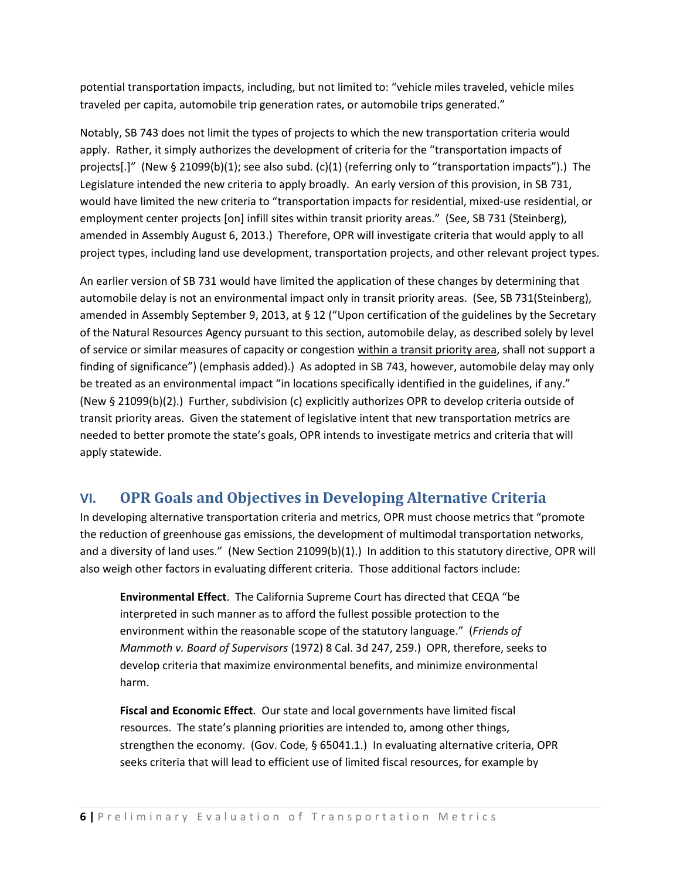potential transportation impacts, including, but not limited to: "vehicle miles traveled, vehicle miles traveled per capita, automobile trip generation rates, or automobile trips generated."

Notably, SB 743 does not limit the types of projects to which the new transportation criteria would apply. Rather, it simply authorizes the development of criteria for the "transportation impacts of projects[.]" (New § 21099(b)(1); see also subd. (c)(1) (referring only to "transportation impacts").) The Legislature intended the new criteria to apply broadly. An early version of this provision, in SB 731, would have limited the new criteria to "transportation impacts for residential, mixed-use residential, or employment center projects [on] infill sites within transit priority areas." (See, SB 731 (Steinberg), amended in Assembly August 6, 2013.) Therefore, OPR will investigate criteria that would apply to all project types, including land use development, transportation projects, and other relevant project types.

An earlier version of SB 731 would have limited the application of these changes by determining that automobile delay is not an environmental impact only in transit priority areas. (See, SB 731(Steinberg), amended in Assembly September 9, 2013, at § 12 ("Upon certification of the guidelines by the Secretary of the Natural Resources Agency pursuant to this section, automobile delay, as described solely by level of service or similar measures of capacity or congestion within a transit priority area, shall not support a finding of significance") (emphasis added).) As adopted in SB 743, however, automobile delay may only be treated as an environmental impact "in locations specifically identified in the guidelines, if any." (New § 21099(b)(2).) Further, subdivision (c) explicitly authorizes OPR to develop criteria outside of transit priority areas. Given the statement of legislative intent that new transportation metrics are needed to better promote the state's goals, OPR intends to investigate metrics and criteria that will apply statewide.

### **VI. OPR Goals and Objectives in Developing Alternative Criteria**

In developing alternative transportation criteria and metrics, OPR must choose metrics that "promote the reduction of greenhouse gas emissions, the development of multimodal transportation networks, and a diversity of land uses." (New Section 21099(b)(1).) In addition to this statutory directive, OPR will also weigh other factors in evaluating different criteria. Those additional factors include:

**Environmental Effect**. The California Supreme Court has directed that CEQA "be interpreted in such manner as to afford the fullest possible protection to the environment within the reasonable scope of the statutory language." (*Friends of Mammoth v. Board of Supervisors* (1972) 8 Cal. 3d 247, 259.) OPR, therefore, seeks to develop criteria that maximize environmental benefits, and minimize environmental harm.

**Fiscal and Economic Effect**. Our state and local governments have limited fiscal resources. The state's planning priorities are intended to, among other things, strengthen the economy. (Gov. Code, § 65041.1.) In evaluating alternative criteria, OPR seeks criteria that will lead to efficient use of limited fiscal resources, for example by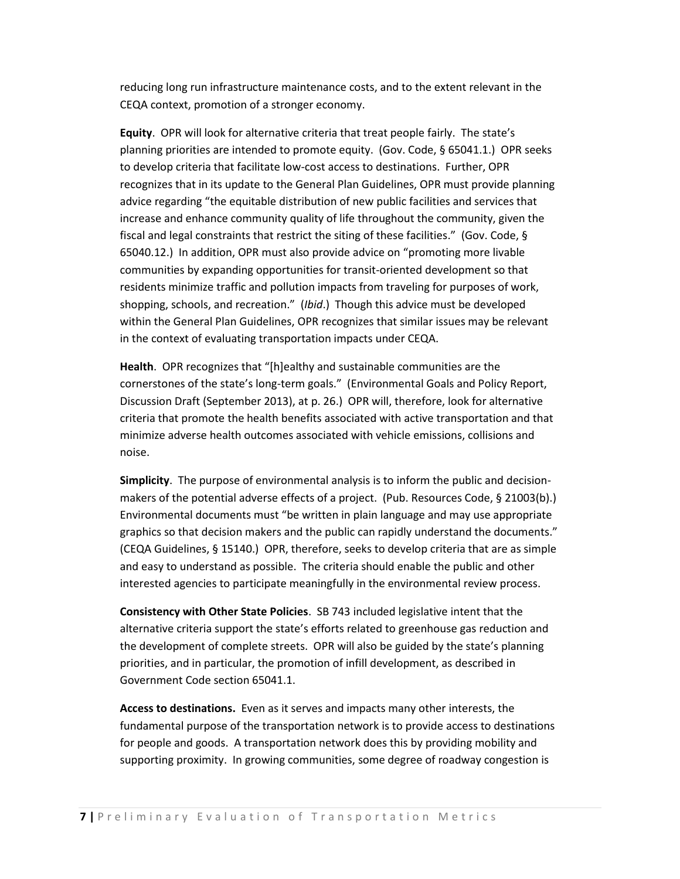reducing long run infrastructure maintenance costs, and to the extent relevant in the CEQA context, promotion of a stronger economy.

**Equity**. OPR will look for alternative criteria that treat people fairly. The state's planning priorities are intended to promote equity. (Gov. Code, § 65041.1.) OPR seeks to develop criteria that facilitate low-cost access to destinations. Further, OPR recognizes that in its update to the General Plan Guidelines, OPR must provide planning advice regarding "the equitable distribution of new public facilities and services that increase and enhance community quality of life throughout the community, given the fiscal and legal constraints that restrict the siting of these facilities." (Gov. Code, § 65040.12.) In addition, OPR must also provide advice on "promoting more livable communities by expanding opportunities for transit-oriented development so that residents minimize traffic and pollution impacts from traveling for purposes of work, shopping, schools, and recreation." (*Ibid*.) Though this advice must be developed within the General Plan Guidelines, OPR recognizes that similar issues may be relevant in the context of evaluating transportation impacts under CEQA.

**Health**. OPR recognizes that "[h]ealthy and sustainable communities are the cornerstones of the state's long-term goals." (Environmental Goals and Policy Report, Discussion Draft (September 2013), at p. 26.) OPR will, therefore, look for alternative criteria that promote the health benefits associated with active transportation and that minimize adverse health outcomes associated with vehicle emissions, collisions and noise.

**Simplicity**. The purpose of environmental analysis is to inform the public and decisionmakers of the potential adverse effects of a project. (Pub. Resources Code, § 21003(b).) Environmental documents must "be written in plain language and may use appropriate graphics so that decision makers and the public can rapidly understand the documents." (CEQA Guidelines, § 15140.) OPR, therefore, seeks to develop criteria that are as simple and easy to understand as possible. The criteria should enable the public and other interested agencies to participate meaningfully in the environmental review process.

**Consistency with Other State Policies**. SB 743 included legislative intent that the alternative criteria support the state's efforts related to greenhouse gas reduction and the development of complete streets. OPR will also be guided by the state's planning priorities, and in particular, the promotion of infill development, as described in Government Code section 65041.1.

**Access to destinations.** Even as it serves and impacts many other interests, the fundamental purpose of the transportation network is to provide access to destinations for people and goods. A transportation network does this by providing mobility and supporting proximity. In growing communities, some degree of roadway congestion is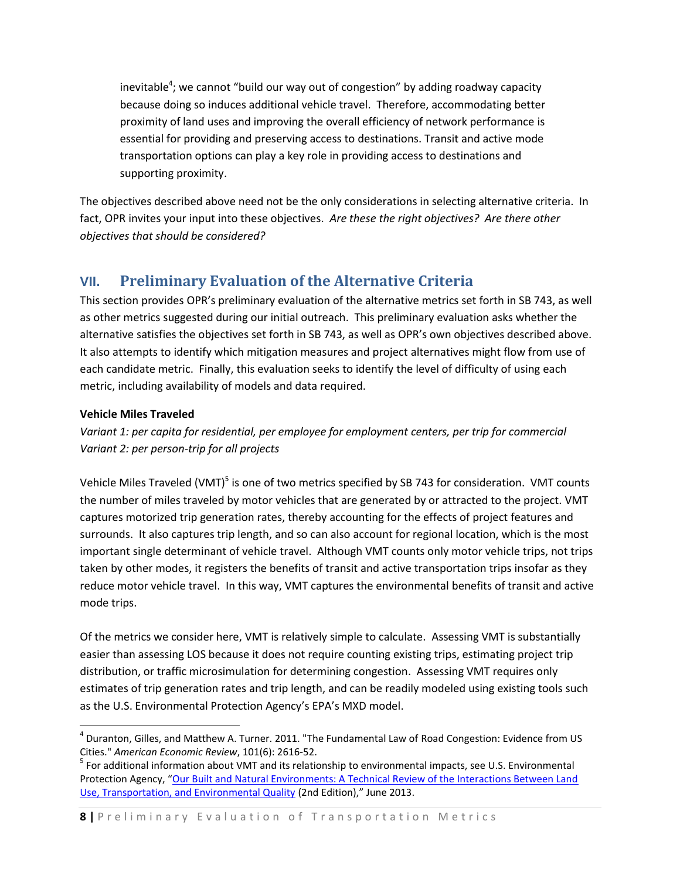inevitable<sup>4</sup>; we cannot "build our way out of congestion" by adding roadway capacity because doing so induces additional vehicle travel. Therefore, accommodating better proximity of land uses and improving the overall efficiency of network performance is essential for providing and preserving access to destinations. Transit and active mode transportation options can play a key role in providing access to destinations and supporting proximity.

The objectives described above need not be the only considerations in selecting alternative criteria. In fact, OPR invites your input into these objectives. *Are these the right objectives? Are there other objectives that should be considered?* 

### **VII. Preliminary Evaluation of the Alternative Criteria**

This section provides OPR's preliminary evaluation of the alternative metrics set forth in SB 743, as well as other metrics suggested during our initial outreach. This preliminary evaluation asks whether the alternative satisfies the objectives set forth in SB 743, as well as OPR's own objectives described above. It also attempts to identify which mitigation measures and project alternatives might flow from use of each candidate metric. Finally, this evaluation seeks to identify the level of difficulty of using each metric, including availability of models and data required.

#### **Vehicle Miles Traveled**

l

*Variant 1: per capita for residential, per employee for employment centers, per trip for commercial Variant 2: per person-trip for all projects* 

Vehicle Miles Traveled (VMT)<sup>5</sup> is one of two metrics specified by SB 743 for consideration. VMT counts the number of miles traveled by motor vehicles that are generated by or attracted to the project. VMT captures motorized trip generation rates, thereby accounting for the effects of project features and surrounds. It also captures trip length, and so can also account for regional location, which is the most important single determinant of vehicle travel. Although VMT counts only motor vehicle trips, not trips taken by other modes, it registers the benefits of transit and active transportation trips insofar as they reduce motor vehicle travel. In this way, VMT captures the environmental benefits of transit and active mode trips.

Of the metrics we consider here, VMT is relatively simple to calculate. Assessing VMT is substantially easier than assessing LOS because it does not require counting existing trips, estimating project trip distribution, or traffic microsimulation for determining congestion. Assessing VMT requires only estimates of trip generation rates and trip length, and can be readily modeled using existing tools such as the U.S. Environmental Protection Agency's EPA's MXD model.

<sup>4</sup> Duranton, Gilles, and Matthew A. Turner. 2011. "The Fundamental Law of Road Congestion: Evidence from US Cities." *American Economic Review*, 101(6): 2616-52.

<sup>&</sup>lt;sup>5</sup> For additional information about VMT and its relationship to environmental impacts, see U.S. Environmental Protection Agency, "[Our Built and Natural Environments: A Technical Review of the Interactions Between Land](http://www.epa.gov/dced/pdf/b-and-n/b-and-n-EPA-231K13001.pdf)  [Use, Transportation, and Environmental Quality](http://www.epa.gov/dced/pdf/b-and-n/b-and-n-EPA-231K13001.pdf) (2nd Edition)," June 2013.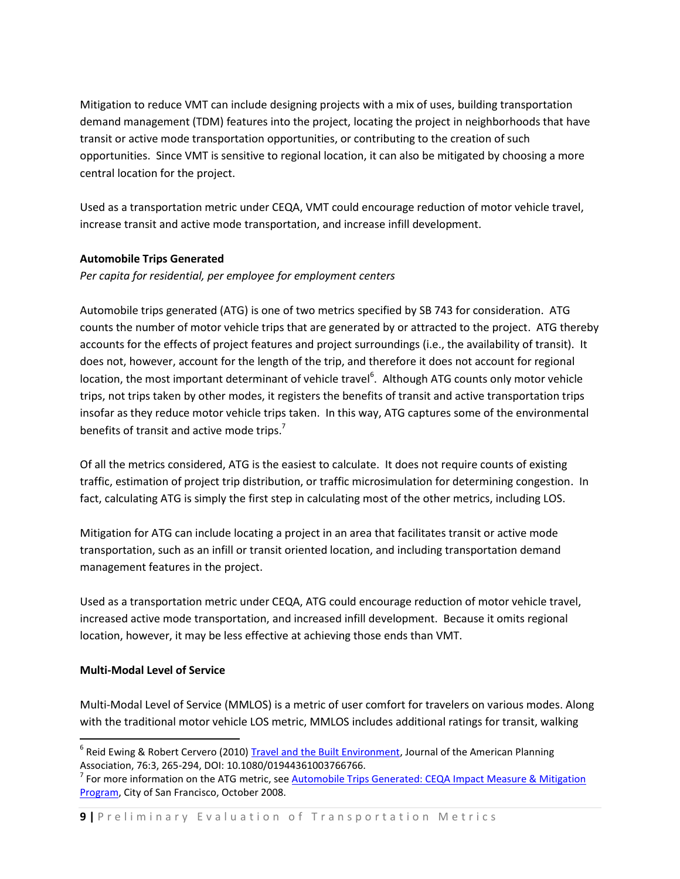Mitigation to reduce VMT can include designing projects with a mix of uses, building transportation demand management (TDM) features into the project, locating the project in neighborhoods that have transit or active mode transportation opportunities, or contributing to the creation of such opportunities. Since VMT is sensitive to regional location, it can also be mitigated by choosing a more central location for the project.

Used as a transportation metric under CEQA, VMT could encourage reduction of motor vehicle travel, increase transit and active mode transportation, and increase infill development.

#### **Automobile Trips Generated**

*Per capita for residential, per employee for employment centers* 

Automobile trips generated (ATG) is one of two metrics specified by SB 743 for consideration. ATG counts the number of motor vehicle trips that are generated by or attracted to the project. ATG thereby accounts for the effects of project features and project surroundings (i.e., the availability of transit). It does not, however, account for the length of the trip, and therefore it does not account for regional location, the most important determinant of vehicle travel<sup>6</sup>. Although ATG counts only motor vehicle trips, not trips taken by other modes, it registers the benefits of transit and active transportation trips insofar as they reduce motor vehicle trips taken. In this way, ATG captures some of the environmental benefits of transit and active mode trips.<sup>7</sup>

Of all the metrics considered, ATG is the easiest to calculate. It does not require counts of existing traffic, estimation of project trip distribution, or traffic microsimulation for determining congestion. In fact, calculating ATG is simply the first step in calculating most of the other metrics, including LOS.

Mitigation for ATG can include locating a project in an area that facilitates transit or active mode transportation, such as an infill or transit oriented location, and including transportation demand management features in the project.

Used as a transportation metric under CEQA, ATG could encourage reduction of motor vehicle travel, increased active mode transportation, and increased infill development. Because it omits regional location, however, it may be less effective at achieving those ends than VMT.

#### **Multi-Modal Level of Service**

 $\overline{a}$ 

Multi-Modal Level of Service (MMLOS) is a metric of user comfort for travelers on various modes. Along with the traditional motor vehicle LOS metric, MMLOS includes additional ratings for transit, walking

<sup>&</sup>lt;sup>6</sup> Reid Ewing & Robert Cervero (2010) [Travel and the Built Environment,](http://www.tandfonline.com/doi/abs/10.1080/01944361003766766#.UrjwGdLku6M) Journal of the American Planning Association, 76:3, 265-294, DOI: 10.1080/01944361003766766.

<sup>&</sup>lt;sup>7</sup> For more information on the ATG metric, see <u>Automobile Trips Generated: CEQA Impact Measure & Mitigation</u> [Program,](http://www.sfcta.org/sites/default/files/content/ATG_Report_final_lowres.pdf) City of San Francisco, October 2008.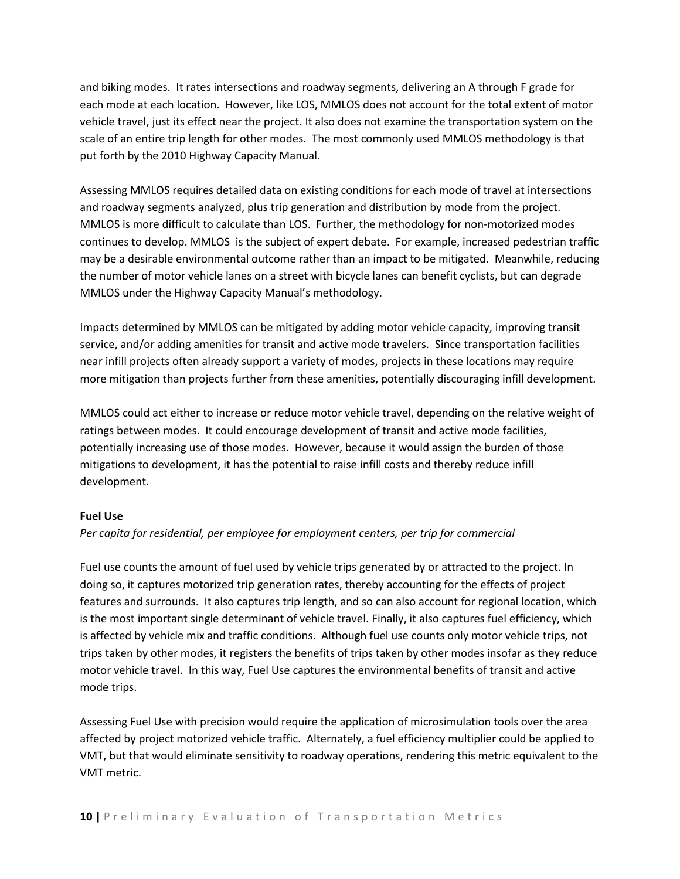and biking modes. It rates intersections and roadway segments, delivering an A through F grade for each mode at each location. However, like LOS, MMLOS does not account for the total extent of motor vehicle travel, just its effect near the project. It also does not examine the transportation system on the scale of an entire trip length for other modes. The most commonly used MMLOS methodology is that put forth by the 2010 Highway Capacity Manual.

Assessing MMLOS requires detailed data on existing conditions for each mode of travel at intersections and roadway segments analyzed, plus trip generation and distribution by mode from the project. MMLOS is more difficult to calculate than LOS. Further, the methodology for non-motorized modes continues to develop. MMLOS is the subject of expert debate. For example, increased pedestrian traffic may be a desirable environmental outcome rather than an impact to be mitigated. Meanwhile, reducing the number of motor vehicle lanes on a street with bicycle lanes can benefit cyclists, but can degrade MMLOS under the Highway Capacity Manual's methodology.

Impacts determined by MMLOS can be mitigated by adding motor vehicle capacity, improving transit service, and/or adding amenities for transit and active mode travelers. Since transportation facilities near infill projects often already support a variety of modes, projects in these locations may require more mitigation than projects further from these amenities, potentially discouraging infill development.

MMLOS could act either to increase or reduce motor vehicle travel, depending on the relative weight of ratings between modes. It could encourage development of transit and active mode facilities, potentially increasing use of those modes. However, because it would assign the burden of those mitigations to development, it has the potential to raise infill costs and thereby reduce infill development.

#### **Fuel Use**

#### *Per capita for residential, per employee for employment centers, per trip for commercial*

Fuel use counts the amount of fuel used by vehicle trips generated by or attracted to the project. In doing so, it captures motorized trip generation rates, thereby accounting for the effects of project features and surrounds. It also captures trip length, and so can also account for regional location, which is the most important single determinant of vehicle travel. Finally, it also captures fuel efficiency, which is affected by vehicle mix and traffic conditions. Although fuel use counts only motor vehicle trips, not trips taken by other modes, it registers the benefits of trips taken by other modes insofar as they reduce motor vehicle travel. In this way, Fuel Use captures the environmental benefits of transit and active mode trips.

Assessing Fuel Use with precision would require the application of microsimulation tools over the area affected by project motorized vehicle traffic. Alternately, a fuel efficiency multiplier could be applied to VMT, but that would eliminate sensitivity to roadway operations, rendering this metric equivalent to the VMT metric.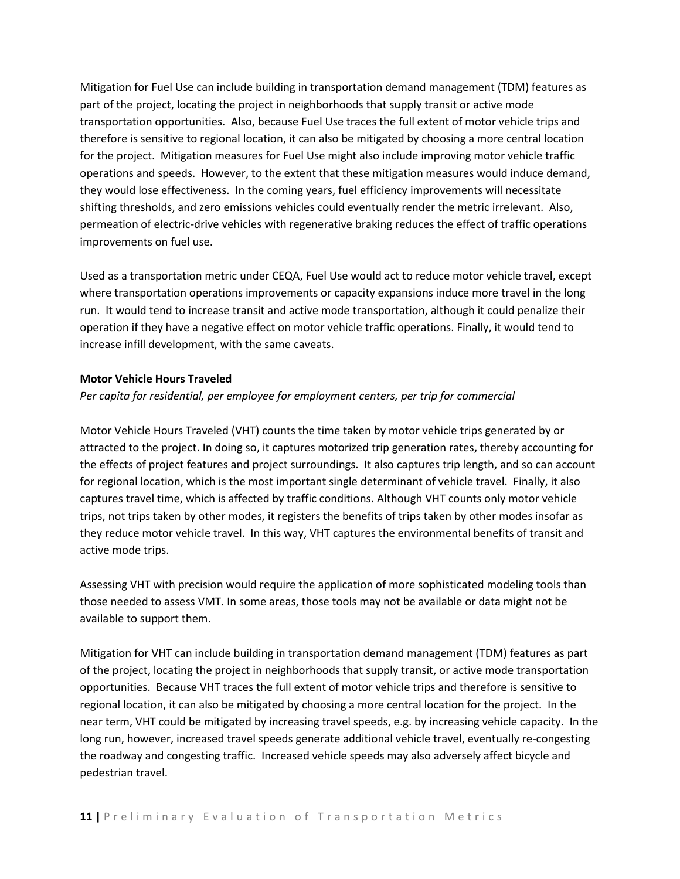Mitigation for Fuel Use can include building in transportation demand management (TDM) features as part of the project, locating the project in neighborhoods that supply transit or active mode transportation opportunities. Also, because Fuel Use traces the full extent of motor vehicle trips and therefore is sensitive to regional location, it can also be mitigated by choosing a more central location for the project. Mitigation measures for Fuel Use might also include improving motor vehicle traffic operations and speeds. However, to the extent that these mitigation measures would induce demand, they would lose effectiveness. In the coming years, fuel efficiency improvements will necessitate shifting thresholds, and zero emissions vehicles could eventually render the metric irrelevant. Also, permeation of electric-drive vehicles with regenerative braking reduces the effect of traffic operations improvements on fuel use.

Used as a transportation metric under CEQA, Fuel Use would act to reduce motor vehicle travel, except where transportation operations improvements or capacity expansions induce more travel in the long run. It would tend to increase transit and active mode transportation, although it could penalize their operation if they have a negative effect on motor vehicle traffic operations. Finally, it would tend to increase infill development, with the same caveats.

#### **Motor Vehicle Hours Traveled**

#### *Per capita for residential, per employee for employment centers, per trip for commercial*

Motor Vehicle Hours Traveled (VHT) counts the time taken by motor vehicle trips generated by or attracted to the project. In doing so, it captures motorized trip generation rates, thereby accounting for the effects of project features and project surroundings. It also captures trip length, and so can account for regional location, which is the most important single determinant of vehicle travel. Finally, it also captures travel time, which is affected by traffic conditions. Although VHT counts only motor vehicle trips, not trips taken by other modes, it registers the benefits of trips taken by other modes insofar as they reduce motor vehicle travel. In this way, VHT captures the environmental benefits of transit and active mode trips.

Assessing VHT with precision would require the application of more sophisticated modeling tools than those needed to assess VMT. In some areas, those tools may not be available or data might not be available to support them.

Mitigation for VHT can include building in transportation demand management (TDM) features as part of the project, locating the project in neighborhoods that supply transit, or active mode transportation opportunities. Because VHT traces the full extent of motor vehicle trips and therefore is sensitive to regional location, it can also be mitigated by choosing a more central location for the project. In the near term, VHT could be mitigated by increasing travel speeds, e.g. by increasing vehicle capacity. In the long run, however, increased travel speeds generate additional vehicle travel, eventually re-congesting the roadway and congesting traffic. Increased vehicle speeds may also adversely affect bicycle and pedestrian travel.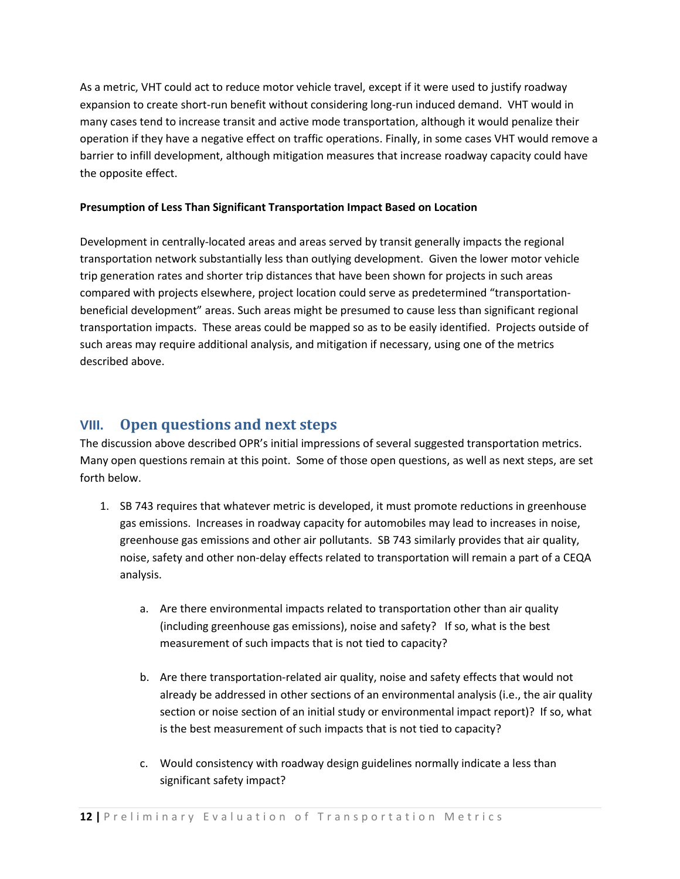As a metric, VHT could act to reduce motor vehicle travel, except if it were used to justify roadway expansion to create short-run benefit without considering long-run induced demand. VHT would in many cases tend to increase transit and active mode transportation, although it would penalize their operation if they have a negative effect on traffic operations. Finally, in some cases VHT would remove a barrier to infill development, although mitigation measures that increase roadway capacity could have the opposite effect.

#### **Presumption of Less Than Significant Transportation Impact Based on Location**

Development in centrally-located areas and areas served by transit generally impacts the regional transportation network substantially less than outlying development. Given the lower motor vehicle trip generation rates and shorter trip distances that have been shown for projects in such areas compared with projects elsewhere, project location could serve as predetermined "transportationbeneficial development" areas. Such areas might be presumed to cause less than significant regional transportation impacts. These areas could be mapped so as to be easily identified. Projects outside of such areas may require additional analysis, and mitigation if necessary, using one of the metrics described above.

### **VIII. Open questions and next steps**

The discussion above described OPR's initial impressions of several suggested transportation metrics. Many open questions remain at this point. Some of those open questions, as well as next steps, are set forth below.

- 1. SB 743 requires that whatever metric is developed, it must promote reductions in greenhouse gas emissions. Increases in roadway capacity for automobiles may lead to increases in noise, greenhouse gas emissions and other air pollutants. SB 743 similarly provides that air quality, noise, safety and other non-delay effects related to transportation will remain a part of a CEQA analysis.
	- a. Are there environmental impacts related to transportation other than air quality (including greenhouse gas emissions), noise and safety? If so, what is the best measurement of such impacts that is not tied to capacity?
	- b. Are there transportation-related air quality, noise and safety effects that would not already be addressed in other sections of an environmental analysis (i.e., the air quality section or noise section of an initial study or environmental impact report)? If so, what is the best measurement of such impacts that is not tied to capacity?
	- c. Would consistency with roadway design guidelines normally indicate a less than significant safety impact?